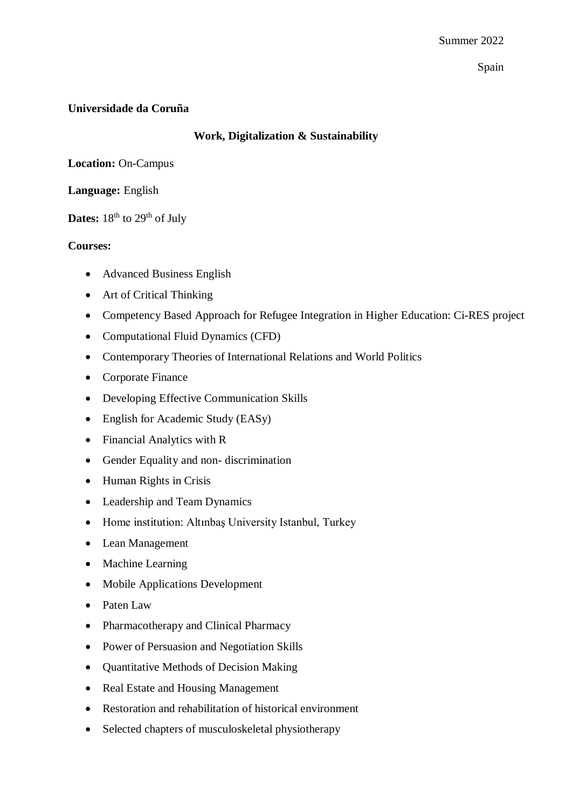Spain

## **Universidade da Coruña**

## **Work, Digitalization & Sustainability**

**Location:** On-Campus

**Language:** English

**Dates:** 18<sup>th</sup> to 29<sup>th</sup> of July

## **Courses:**

- Advanced Business English
- Art of Critical Thinking
- Competency Based Approach for Refugee Integration in Higher Education: Ci-RES project
- Computational Fluid Dynamics (CFD)
- Contemporary Theories of International Relations and World Politics
- Corporate Finance
- Developing Effective Communication Skills
- English for Academic Study (EASy)
- Financial Analytics with R
- Gender Equality and non- discrimination
- Human Rights in Crisis
- Leadership and Team Dynamics
- Home institution: Altınbas University Istanbul, Turkey
- Lean Management
- Machine Learning
- Mobile Applications Development
- Paten Law
- Pharmacotherapy and Clinical Pharmacy
- Power of Persuasion and Negotiation Skills
- Ouantitative Methods of Decision Making
- Real Estate and Housing Management
- Restoration and rehabilitation of historical environment
- Selected chapters of musculoskeletal physiotherapy